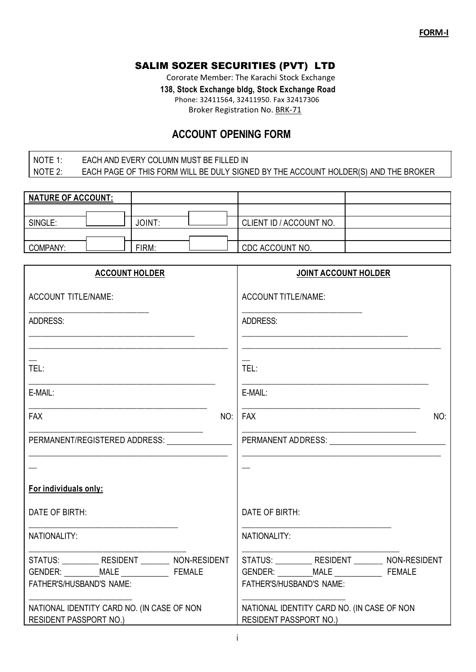## SALIM SOZER SECURITIES (PVT) LTD

Cororate Member: The Karachi Stock Exchange

 **138, Stock Exchange bldg, Stock Exchange Road** 

Phone: 32411564, 32411950. Fax 32417306

Broker Registration No. BRK-71

# **ACCOUNT OPENING FORM**

### NOTE 1: EACH AND EVERY COLUMN MUST BE FILLED IN NOTE 2: EACH PAGE OF THIS FORM WILL BE DULY SIGNED BY THE ACCOUNT HOLDER(S) AND THE BROKER

| NATURE OF ACCOUNT: |  |        |  |                         |  |
|--------------------|--|--------|--|-------------------------|--|
|                    |  |        |  |                         |  |
| SINGLE:            |  | JOINT: |  | CLIENT ID / ACCOUNT NO. |  |
|                    |  |        |  |                         |  |
| COMPANY:           |  | FIRM:  |  | CDC ACCOUNT NO.         |  |

| <b>ACCOUNT HOLDER</b>                                                            | <b>JOINT ACCOUNT HOLDER</b>                                                     |
|----------------------------------------------------------------------------------|---------------------------------------------------------------------------------|
| <b>ACCOUNT TITLE/NAME:</b>                                                       | <b>ACCOUNT TITLE/NAME:</b>                                                      |
| <b>ADDRESS:</b>                                                                  | ADDRESS:                                                                        |
|                                                                                  |                                                                                 |
| TEL:                                                                             | TEL:                                                                            |
| E-MAIL:                                                                          | E-MAIL:                                                                         |
| <b>FAX</b><br>NO:                                                                | <b>FAX</b><br>NO:                                                               |
| PERMANENT/REGISTERED ADDRESS:                                                    | PERMANENT ADDRESS: University of the ADDRESS:                                   |
|                                                                                  |                                                                                 |
| For individuals only:                                                            |                                                                                 |
| DATE OF BIRTH:                                                                   | DATE OF BIRTH:                                                                  |
| NATIONALITY:                                                                     | NATIONALITY:                                                                    |
| STATUS: ____________ RESIDENT _________ NON-RESIDENT<br>FATHER'S/HUSBAND'S NAME: | STATUS: ___________ RESIDENT _________ NON-RESIDENT<br>FATHER'S/HUSBAND'S NAME: |
| NATIONAL IDENTITY CARD NO. (IN CASE OF NON<br>RESIDENT PASSPORT NO.)             | NATIONAL IDENTITY CARD NO. (IN CASE OF NON<br><b>RESIDENT PASSPORT NO.)</b>     |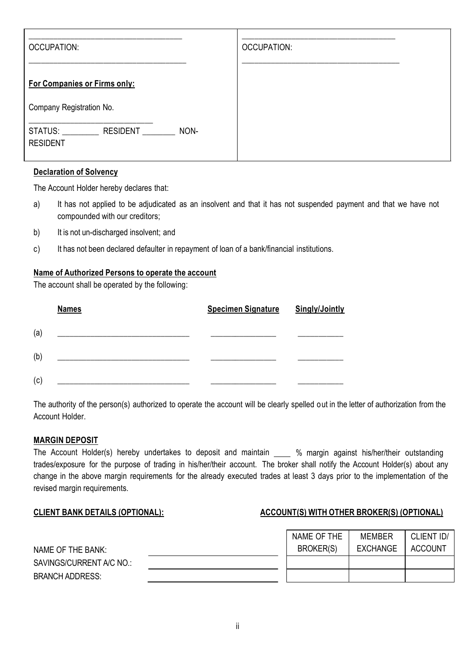| <b>OCCUPATION:</b>                                             | <b>OCCUPATION:</b> |
|----------------------------------------------------------------|--------------------|
| <b>For Companies or Firms only:</b>                            |                    |
| Company Registration No.                                       |                    |
| STATUS: ____________ RESIDENT _____<br>NON-<br><b>RESIDENT</b> |                    |

#### **Declaration of Solvency**

The Account Holder hereby declares that:

- a) It has not applied to be adjudicated as an insolvent and that it has not suspended payment and that we have not compounded with our creditors;
- b) It is not un-discharged insolvent; and
- c) It has not been declared defaulter in repayment of loan of a bank/financial institutions.

#### **Name of Authorized Persons to operate the account**

The account shall be operated by the following:

|     | <b>Names</b> | <b>Specimen Signature</b> | <b>Singly/Jointly</b> |
|-----|--------------|---------------------------|-----------------------|
| (a) |              |                           |                       |
| (b) |              |                           |                       |
| (c) |              |                           |                       |

The authority of the person(s) authorized to operate the account will be clearly spelled out in the letter of authorization from the Account Holder.

#### **MARGIN DEPOSIT**

The Account Holder(s) hereby undertakes to deposit and maintain \_\_\_\_ % margin against his/her/their outstanding trades/exposure for the purpose of trading in his/her/their account. The broker shall notify the Account Holder(s) about any change in the above margin requirements for the already executed trades at least 3 days prior to the implementation of the revised margin requirements.

#### **CLIENT BANK DETAILS (OPTIONAL): ACCOUNT(S) WITH OTHER BROKER(S) (OPTIONAL)**

|                          | NAME OF THE | MEMBER   | CLIENT ID/ |
|--------------------------|-------------|----------|------------|
| NAME OF THE BANK:        | BROKER(S)   | EXCHANGE | ACCOUNT    |
| SAVINGS/CURRENT A/C NO.: |             |          |            |
| <b>BRANCH ADDRESS:</b>   |             |          |            |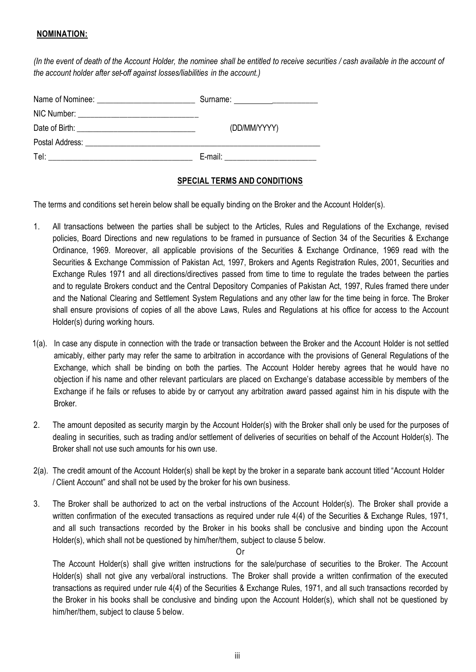#### **NOMINATION:**

(In the event of death of the Account Holder, the nominee shall be entitled to receive securities / cash available in the account of *the account holder after set-off against losses/liabilities in the account.)*

|      | (DD/MM/YYYY) |
|------|--------------|
|      |              |
| Tel: | E-mail:      |

#### **SPECIAL TERMS AND CONDITIONS**

The terms and conditions set herein below shall be equally binding on the Broker and the Account Holder(s).

- 1. All transactions between the parties shall be subject to the Articles, Rules and Regulations of the Exchange, revised policies, Board Directions and new regulations to be framed in pursuance of Section 34 of the Securities & Exchange Ordinance, 1969. Moreover, all applicable provisions of the Securities & Exchange Ordinance, 1969 read with the Securities & Exchange Commission of Pakistan Act, 1997, Brokers and Agents Registration Rules, 2001, Securities and Exchange Rules 1971 and all directions/directives passed from time to time to regulate the trades between the parties and to regulate Brokers conduct and the Central Depository Companies of Pakistan Act, 1997, Rules framed there under and the National Clearing and Settlement System Regulations and any other law for the time being in force. The Broker shall ensure provisions of copies of all the above Laws, Rules and Regulations at his office for access to the Account Holder(s) during working hours.
- 1(a). In case any dispute in connection with the trade or transaction between the Broker and the Account Holder is not settled amicably, either party may refer the same to arbitration in accordance with the provisions of General Regulations of the Exchange, which shall be binding on both the parties. The Account Holder hereby agrees that he would have no objection if his name and other relevant particulars are placed on Exchange"s database accessible by members of the Exchange if he fails or refuses to abide by or carryout any arbitration award passed against him in his dispute with the Broker.
- 2. The amount deposited as security margin by the Account Holder(s) with the Broker shall only be used for the purposes of dealing in securities, such as trading and/or settlement of deliveries of securities on behalf of the Account Holder(s). The Broker shall not use such amounts for his own use.
- 2(a). The credit amount of the Account Holder(s) shall be kept by the broker in a separate bank account titled "Account Holder / Client Account" and shall not be used by the broker for his own business.
- 3. The Broker shall be authorized to act on the verbal instructions of the Account Holder(s). The Broker shall provide a written confirmation of the executed transactions as required under rule 4(4) of the Securities & Exchange Rules, 1971, and all such transactions recorded by the Broker in his books shall be conclusive and binding upon the Account Holder(s), which shall not be questioned by him/her/them, subject to clause 5 below.

Or

The Account Holder(s) shall give written instructions for the sale/purchase of securities to the Broker. The Account Holder(s) shall not give any verbal/oral instructions. The Broker shall provide a written confirmation of the executed transactions as required under rule 4(4) of the Securities & Exchange Rules, 1971, and all such transactions recorded by the Broker in his books shall be conclusive and binding upon the Account Holder(s), which shall not be questioned by him/her/them, subject to clause 5 below.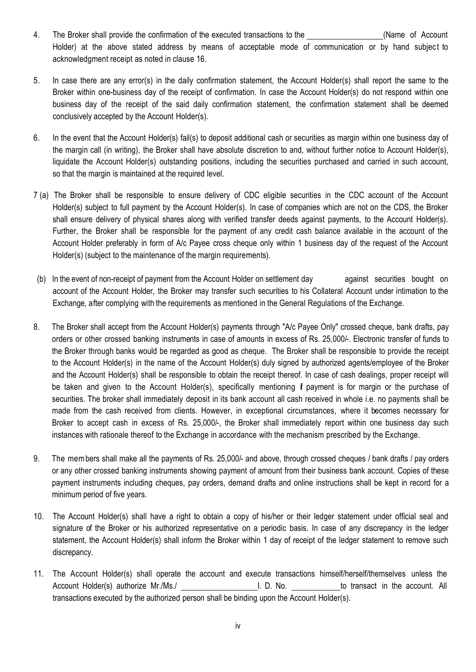- 4. The Broker shall provide the confirmation of the executed transactions to the (Name of Account Holder) at the above stated address by means of acceptable mode of communication or by hand subject to acknowledgment receipt as noted in clause 16.
- 5. In case there are any error(s) in the daily confirmation statement, the Account Holder(s) shall report the same to the Broker within one-business day of the receipt of confirmation. In case the Account Holder(s) do not respond within one business day of the receipt of the said daily confirmation statement, the confirmation statement shall be deemed conclusively accepted by the Account Holder(s).
- 6. In the event that the Account Holder(s) fail(s) to deposit additional cash or securities as margin within one business day of the margin call (in writing), the Broker shall have absolute discretion to and, without further notice to Account Holder(s), liquidate the Account Holder(s) outstanding positions, including the securities purchased and carried in such account, so that the margin is maintained at the required level.
- 7 (a) The Broker shall be responsible to ensure delivery of CDC eligible securities in the CDC account of the Account Holder(s) subject to full payment by the Account Holder(s). In case of companies which are not on the CDS, the Broker shall ensure delivery of physical shares along with verified transfer deeds against payments, to the Account Holder(s). Further, the Broker shall be responsible for the payment of any credit cash balance available in the account of the Account Holder preferably in form of A/c Payee cross cheque only within 1 business day of the request of the Account Holder(s) (subject to the maintenance of the margin requirements).
- (b) In the event of non-receipt of payment from the Account Holder on settlement day against securities bought on account of the Account Holder, the Broker may transfer such securities to his Collateral Account under intimation to the Exchange, after complying with the requirements as mentioned in the General Regulations of the Exchange.
- 8. The Broker shall accept from the Account Holder(s) payments through "A/c Payee Only" crossed cheque, bank drafts, pay orders or other crossed banking instruments in case of amounts in excess of Rs. 25,000/-. Electronic transfer of funds to the Broker through banks would be regarded as good as cheque. The Broker shall be responsible to provide the receipt to the Account Holder(s) in the name of the Account Holder(s) duly signed by authorized agents/employee of the Broker and the Account Holder(s) shall be responsible to obtain the receipt thereof. In case of cash dealings, proper receipt will be taken and given to the Account Holder(s), specifically mentioning if payment is for margin or the purchase of securities. The broker shall immediately deposit in its bank account all cash received in whole i.e. no payments shall be made from the cash received from clients. However, in exceptional circumstances, where it becomes necessary for Broker to accept cash in excess of Rs. 25,000/-, the Broker shall immediately report within one business day such instances with rationale thereof to the Exchange in accordance with the mechanism prescribed by the Exchange.
- 9. The members shall make all the payments of Rs. 25,000/- and above, through crossed cheques / bank drafts / pay orders or any other crossed banking instruments showing payment of amount from their business bank account. Copies of these payment instruments including cheques, pay orders, demand drafts and online instructions shall be kept in record for a minimum period of five years.
- 10. The Account Holder(s) shall have a right to obtain a copy of his/her or their ledger statement under official seal and signature of the Broker or his authorized representative on a periodic basis. In case of any discrepancy in the ledger statement, the Account Holder(s) shall inform the Broker within 1 day of receipt of the ledger statement to remove such discrepancy.
- 11. The Account Holder(s) shall operate the account and execute transactions himself/herself/themselves unless the Account Holder(s) authorize Mr./Ms./ The Mateur Counter of L. D. No. The transact in the account. All transactions executed by the authorized person shall be binding upon the Account Holder(s).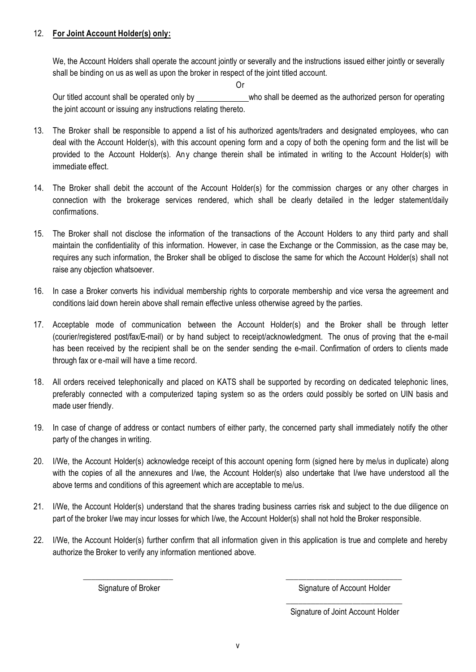#### 12. **For Joint Account Holder(s) only:**

We, the Account Holders shall operate the account jointly or severally and the instructions issued either jointly or severally shall be binding on us as well as upon the broker in respect of the joint titled account.

Or

Our titled account shall be operated only by \_\_\_\_\_\_\_\_\_\_\_\_\_ who shall be deemed as the authorized person for operating the joint account or issuing any instructions relating thereto.

- 13. The Broker shall be responsible to append a list of his authorized agents/traders and designated employees, who can deal with the Account Holder(s), with this account opening form and a copy of both the opening form and the list will be provided to the Account Holder(s). Any change therein shall be intimated in writing to the Account Holder(s) with immediate effect.
- 14. The Broker shall debit the account of the Account Holder(s) for the commission charges or any other charges in connection with the brokerage services rendered, which shall be clearly detailed in the ledger statement/daily confirmations.
- 15. The Broker shall not disclose the information of the transactions of the Account Holders to any third party and shall maintain the confidentiality of this information. However, in case the Exchange or the Commission, as the case may be, requires any such information, the Broker shall be obliged to disclose the same for which the Account Holder(s) shall not raise any objection whatsoever.
- 16. In case a Broker converts his individual membership rights to corporate membership and vice versa the agreement and conditions laid down herein above shall remain effective unless otherwise agreed by the parties.
- 17. Acceptable mode of communication between the Account Holder(s) and the Broker shall be through letter (courier/registered post/fax/E-mail) or by hand subject to receipt/acknowledgment. The onus of proving that the e-mail has been received by the recipient shall be on the sender sending the e-mail. Confirmation of orders to clients made through fax or e-mail will have a time record.
- 18. All orders received telephonically and placed on KATS shall be supported by recording on dedicated telephonic lines, preferably connected with a computerized taping system so as the orders could possibly be sorted on UIN basis and made user friendly.
- 19. In case of change of address or contact numbers of either party, the concerned party shall immediately notify the other party of the changes in writing.
- 20. I/We, the Account Holder(s) acknowledge receipt of this account opening form (signed here by me/us in duplicate) along with the copies of all the annexures and I/we, the Account Holder(s) also undertake that I/we have understood all the above terms and conditions of this agreement which are acceptable to me/us.
- 21. I/We, the Account Holder(s) understand that the shares trading business carries risk and subject to the due diligence on part of the broker I/we may incur losses for which I/we, the Account Holder(s) shall not hold the Broker responsible.
- 22. I/We, the Account Holder(s) further confirm that all information given in this application is true and complete and hereby authorize the Broker to verify any information mentioned above.

\_\_\_\_\_\_\_\_\_\_\_\_\_\_\_\_\_\_\_\_\_\_ \_\_\_\_\_\_\_\_\_\_\_\_\_\_\_\_\_\_\_\_\_\_\_\_\_\_\_\_

Signature of Broker Signature of Account Holder \_\_\_\_\_\_\_\_\_\_\_\_\_\_\_\_\_\_\_\_\_\_\_\_\_\_\_\_

Signature of Joint Account Holder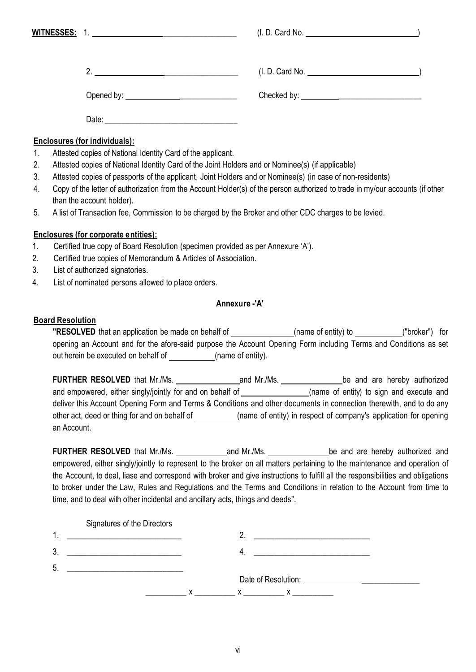|    |                                                                                                           |                                                                                                  | (I.D. Card No. 2008)                                                                                                          |
|----|-----------------------------------------------------------------------------------------------------------|--------------------------------------------------------------------------------------------------|-------------------------------------------------------------------------------------------------------------------------------|
|    |                                                                                                           | 2. $\overbrace{\phantom{aaaaa}}$                                                                 | (I. D. Card No. <u>__________________________________</u> )                                                                   |
|    |                                                                                                           |                                                                                                  |                                                                                                                               |
|    |                                                                                                           |                                                                                                  |                                                                                                                               |
|    |                                                                                                           | Enclosures (for individuals):                                                                    |                                                                                                                               |
| 1. |                                                                                                           | Attested copies of National Identity Card of the applicant.                                      |                                                                                                                               |
| 2. |                                                                                                           | Attested copies of National Identity Card of the Joint Holders and or Nominee(s) (if applicable) |                                                                                                                               |
| 3. | Attested copies of passports of the applicant, Joint Holders and or Nominee(s) (in case of non-residents) |                                                                                                  |                                                                                                                               |
| 4. |                                                                                                           |                                                                                                  | Copy of the letter of authorization from the Account Holder(s) of the person authorized to trade in my/our accounts (if other |
|    |                                                                                                           | than the account holder).                                                                        |                                                                                                                               |
| 5. | A list of Transaction fee, Commission to be charged by the Broker and other CDC charges to be levied.     |                                                                                                  |                                                                                                                               |
|    |                                                                                                           | <b>Enclosures (for corporate entities):</b>                                                      |                                                                                                                               |
| 1. |                                                                                                           | Certified true copy of Board Resolution (specimen provided as per Annexure 'A').                 |                                                                                                                               |
| 2. |                                                                                                           | Certified true copies of Memorandum & Articles of Association.                                   |                                                                                                                               |
| 3. |                                                                                                           | List of authorized signatories.                                                                  |                                                                                                                               |
|    |                                                                                                           |                                                                                                  |                                                                                                                               |

4. List of nominated persons allowed to place orders.

#### **Annexure -'A'**

#### **Board Resolution**

**"RESOLVED** that an application be made on behalf of \_\_\_\_\_\_\_\_\_\_\_\_\_\_(name of entity) to \_\_\_\_\_\_\_\_\_\_("broker") for opening an Account and for the afore-said purpose the Account Opening Form including Terms and Conditions as set out herein be executed on behalf of (name of entity).

**FURTHER RESOLVED** that Mr./Ms. and Mr./Ms. be and are hereby authorized and empowered, either singly/jointly for and on behalf of \_\_\_\_\_\_\_\_\_\_\_\_\_\_\_\_(name of entity) to sign and execute and deliver this Account Opening Form and Terms & Conditions and other documents in connection therewith, and to do any other act, deed or thing for and on behalf of \_\_\_\_\_\_\_\_\_(name of entity) in respect of company's application for opening an Account.

**FURTHER RESOLVED** that Mr./Ms. **and Mr./Ms.** and Mr./Ms. be and are hereby authorized and empowered, either singly/jointly to represent to the broker on all matters pertaining to the maintenance and operation of the Account, to deal, liase and correspond with broker and give instructions to fulfill all the responsibilities and obligations to broker under the Law, Rules and Regulations and the Terms and Conditions in relation to the Account from time to time, and to deal with other incidental and ancillary acts, things and deeds".

|    | Signatures of the Directors |   |                                                                                                                 |
|----|-----------------------------|---|-----------------------------------------------------------------------------------------------------------------|
| 4  |                             |   | the contract of the contract of the contract of the contract of the contract of the contract of the contract of |
| 3. |                             |   |                                                                                                                 |
| 5. |                             |   |                                                                                                                 |
|    |                             |   | Date of Resolution: Date of Resolution:                                                                         |
|    |                             | v | X.<br>$\mathsf{X}$ and $\mathsf{X}$ and $\mathsf{X}$ are the set of $\mathsf{X}$                                |